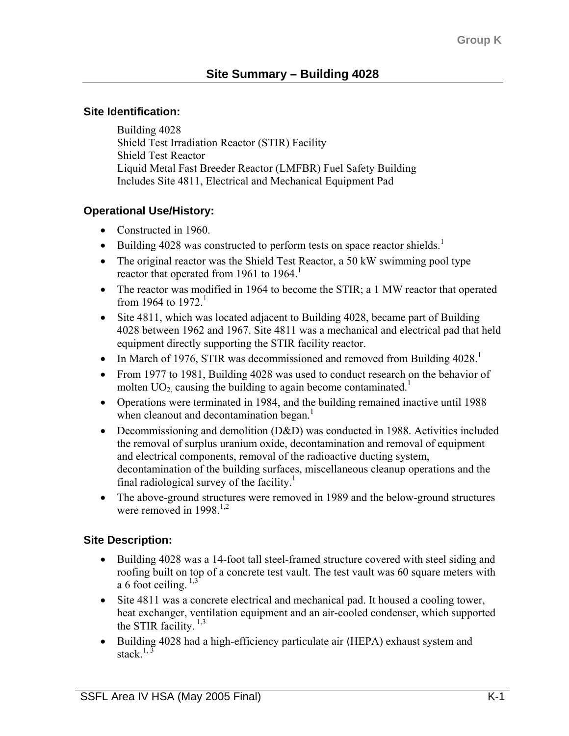### **Site Identification:**

Building 4028 Shield Test Irradiation Reactor (STIR) Facility Shield Test Reactor Liquid Metal Fast Breeder Reactor (LMFBR) Fuel Safety Building Includes Site 4811, Electrical and Mechanical Equipment Pad

# **Operational Use/History:**

- Constructed in 1960.
- Building 4028 was constructed to perform tests on space reactor shields.<sup>1</sup>
- The original reactor was the Shield Test Reactor, a 50 kW swimming pool type reactor that operated from 1961 to 1964.<sup>1</sup>
- The reactor was modified in 1964 to become the STIR; a 1 MW reactor that operated from 1964 to 1972<sup>1</sup>
- Site 4811, which was located adjacent to Building 4028, became part of Building 4028 between 1962 and 1967. Site 4811 was a mechanical and electrical pad that held equipment directly supporting the STIR facility reactor.
- In March of 1976, STIR was decommissioned and removed from Building  $4028$ <sup>1</sup>
- From 1977 to 1981, Building 4028 was used to conduct research on the behavior of molten  $UO_2$  causing the building to again become contaminated.<sup>1</sup>
- Operations were terminated in 1984, and the building remained inactive until 1988 when cleanout and decontamination began.<sup>1</sup>
- Decommissioning and demolition (D&D) was conducted in 1988. Activities included the removal of surplus uranium oxide, decontamination and removal of equipment and electrical components, removal of the radioactive ducting system, decontamination of the building surfaces, miscellaneous cleanup operations and the final radiological survey of the facility.<sup>1</sup>
- The above-ground structures were removed in 1989 and the below-ground structures were removed in  $1998$ <sup>1,2</sup>

# **Site Description:**

- Building 4028 was a 14-foot tall steel-framed structure covered with steel siding and roofing built on top of a concrete test vault. The test vault was 60 square meters with a 6 foot ceiling.  $1,3$
- Site 4811 was a concrete electrical and mechanical pad. It housed a cooling tower, heat exchanger, ventilation equipment and an air-cooled condenser, which supported the STIR facility.  $1,3$
- Building 4028 had a high-efficiency particulate air (HEPA) exhaust system and stack  $1, \frac{3}{5}$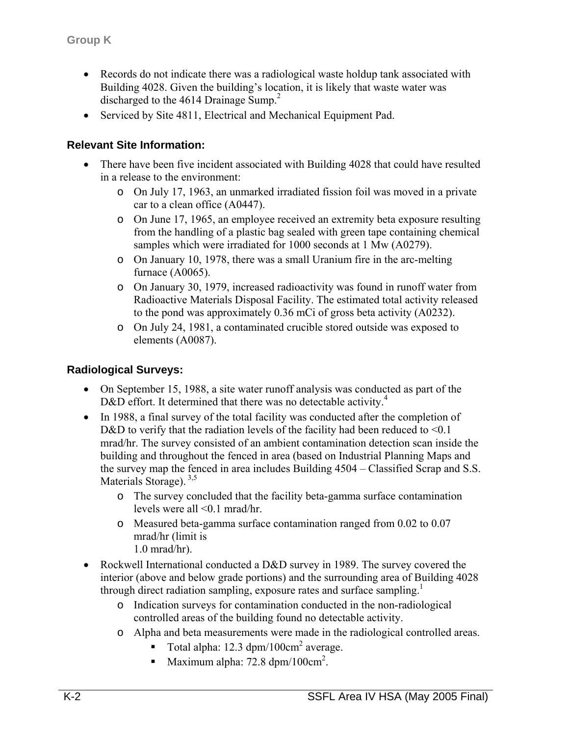- Records do not indicate there was a radiological waste holdup tank associated with Building 4028. Given the building's location, it is likely that waste water was discharged to the 4614 Drainage Sump.<sup>2</sup>
- Serviced by Site 4811, Electrical and Mechanical Equipment Pad.

### **Relevant Site Information:**

- There have been five incident associated with Building 4028 that could have resulted in a release to the environment:
	- o On July 17, 1963, an unmarked irradiated fission foil was moved in a private car to a clean office (A0447).
	- o On June 17, 1965, an employee received an extremity beta exposure resulting from the handling of a plastic bag sealed with green tape containing chemical samples which were irradiated for 1000 seconds at 1 Mw (A0279).
	- o On January 10, 1978, there was a small Uranium fire in the arc-melting furnace (A0065).
	- o On January 30, 1979, increased radioactivity was found in runoff water from Radioactive Materials Disposal Facility. The estimated total activity released to the pond was approximately 0.36 mCi of gross beta activity (A0232).
	- o On July 24, 1981, a contaminated crucible stored outside was exposed to elements (A0087).

### **Radiological Surveys:**

- On September 15, 1988, a site water runoff analysis was conducted as part of the D&D effort. It determined that there was no detectable activity.<sup>4</sup>
- In 1988, a final survey of the total facility was conducted after the completion of D&D to verify that the radiation levels of the facility had been reduced to  $\leq 0.1$ mrad/hr. The survey consisted of an ambient contamination detection scan inside the building and throughout the fenced in area (based on Industrial Planning Maps and the survey map the fenced in area includes Building 4504 – Classified Scrap and S.S. Materials Storage).<sup>3,5</sup>
	- o The survey concluded that the facility beta-gamma surface contamination levels were all <0.1 mrad/hr.
	- o Measured beta-gamma surface contamination ranged from 0.02 to 0.07 mrad/hr (limit is 1.0 mrad/hr).
- Rockwell International conducted a D&D survey in 1989. The survey covered the interior (above and below grade portions) and the surrounding area of Building 4028 through direct radiation sampling, exposure rates and surface sampling.<sup>1</sup>
	- o Indication surveys for contamination conducted in the non-radiological controlled areas of the building found no detectable activity.
	- o Alpha and beta measurements were made in the radiological controlled areas.
		- Total alpha:  $12.3 \text{ dpm}/100 \text{cm}^2$  average.
		- Maximum alpha:  $72.8 \text{ dpm}/100 \text{cm}^2$ .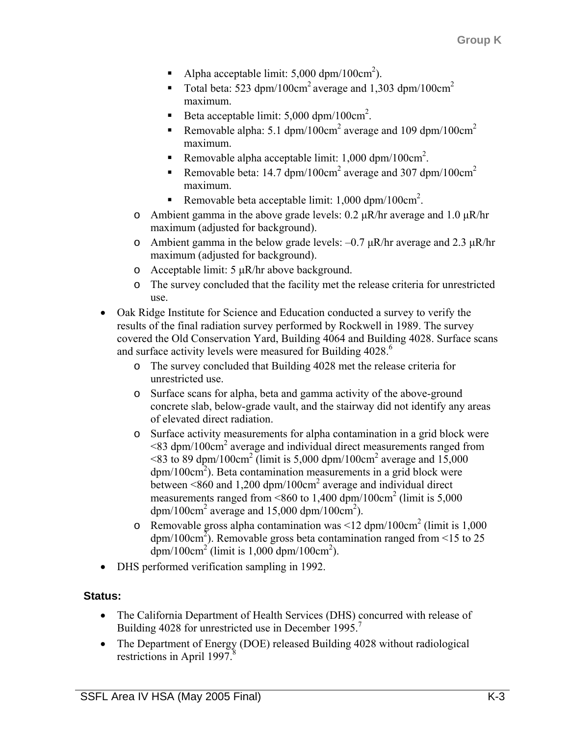- Alpha acceptable limit:  $5,000 \text{ dpm}/100 \text{cm}^2$ ).
- Total beta: 523 dpm/100cm<sup>2</sup> average and 1,303 dpm/100cm<sup>2</sup> maximum.
- Beta acceptable limit:  $5,000$  dpm/100cm<sup>2</sup>.
- Removable alpha: 5.1 dpm/100cm<sup>2</sup> average and 109 dpm/100cm<sup>2</sup> maximum.
- Removable alpha acceptable limit:  $1,000$  dpm/ $100 \text{cm}^2$ .
- Removable beta: 14.7 dpm/100cm<sup>2</sup> average and 307 dpm/100cm<sup>2</sup> maximum.
- Removable beta acceptable limit:  $1,000$  dpm/ $100 \text{cm}^2$ .
- o Ambient gamma in the above grade levels:  $0.2 \mu R/hr$  average and  $1.0 \mu R/hr$ maximum (adjusted for background).
- o Ambient gamma in the below grade levels:  $-0.7 \mu R/hr$  average and 2.3  $\mu R/hr$ maximum (adjusted for background).
- o Acceptable limit: 5 µR/hr above background.
- o The survey concluded that the facility met the release criteria for unrestricted use.
- Oak Ridge Institute for Science and Education conducted a survey to verify the results of the final radiation survey performed by Rockwell in 1989. The survey covered the Old Conservation Yard, Building 4064 and Building 4028. Surface scans and surface activity levels were measured for Building 4028.<sup>6</sup>
	- o The survey concluded that Building 4028 met the release criteria for unrestricted use.
	- o Surface scans for alpha, beta and gamma activity of the above-ground concrete slab, below-grade vault, and the stairway did not identify any areas of elevated direct radiation.
	- o Surface activity measurements for alpha contamination in a grid block were  $\leq$ 83 dpm/100 $\text{cm}^2$  average and individual direct measurements ranged from  $\leq$ 83 to 89 dpm/100cm<sup>2</sup> (limit is 5,000 dpm/100cm<sup>2</sup> average and 15,000  $dpm/100cm<sup>2</sup>$ ). Beta contamination measurements in a grid block were between <860 and 1,200 dpm/100cm<sup>2</sup> average and individual direct measurements ranged from <860 to  $1,400$  dpm/100cm<sup>2</sup> (limit is  $5,000$ ) dpm/100cm<sup>2</sup> average and 15,000 dpm/100cm<sup>2</sup>).
	- o Removable gross alpha contamination was <12 dpm/100cm<sup>2</sup> (limit is 1,000) dpm/100cm<sup>2</sup>). Removable gross beta contamination ranged from <15 to 25  $\text{dpm}/100 \text{cm}^2$  (limit is 1,000  $\text{dpm}/100 \text{cm}^2$ ).
- DHS performed verification sampling in 1992.

# **Status:**

- The California Department of Health Services (DHS) concurred with release of Building 4028 for unrestricted use in December 1995.<sup>7</sup>
- The Department of Energy (DOE) released Building 4028 without radiological restrictions in April 1997. $\frac{8}{3}$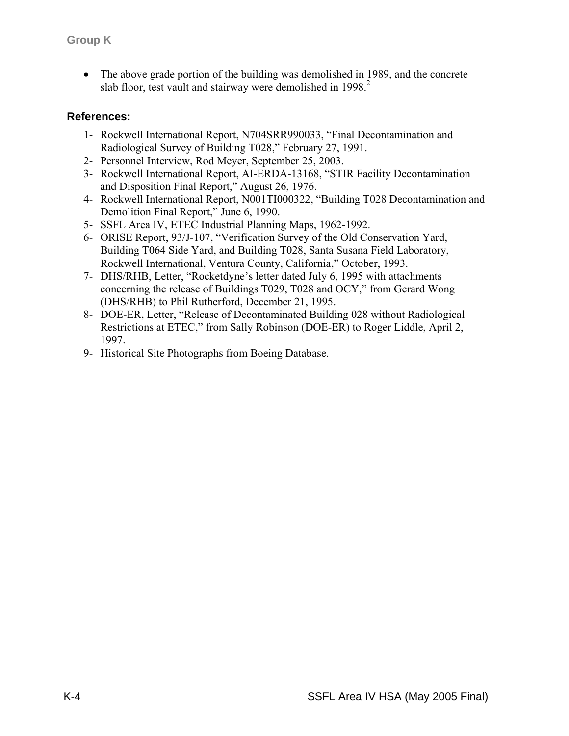• The above grade portion of the building was demolished in 1989, and the concrete slab floor, test vault and stairway were demolished in  $1998<sup>2</sup>$ .

### **References:**

- 1- Rockwell International Report, N704SRR990033, "Final Decontamination and Radiological Survey of Building T028," February 27, 1991.
- 2- Personnel Interview, Rod Meyer, September 25, 2003.
- 3- Rockwell International Report, AI-ERDA-13168, "STIR Facility Decontamination and Disposition Final Report," August 26, 1976.
- 4- Rockwell International Report, N001TI000322, "Building T028 Decontamination and Demolition Final Report," June 6, 1990.
- 5- SSFL Area IV, ETEC Industrial Planning Maps, 1962-1992.
- 6- ORISE Report, 93/J-107, "Verification Survey of the Old Conservation Yard, Building T064 Side Yard, and Building T028, Santa Susana Field Laboratory, Rockwell International, Ventura County, California," October, 1993.
- 7- DHS/RHB, Letter, "Rocketdyne's letter dated July 6, 1995 with attachments concerning the release of Buildings T029, T028 and OCY," from Gerard Wong (DHS/RHB) to Phil Rutherford, December 21, 1995.
- 8- DOE-ER, Letter, "Release of Decontaminated Building 028 without Radiological Restrictions at ETEC," from Sally Robinson (DOE-ER) to Roger Liddle, April 2, 1997.
- 9- Historical Site Photographs from Boeing Database.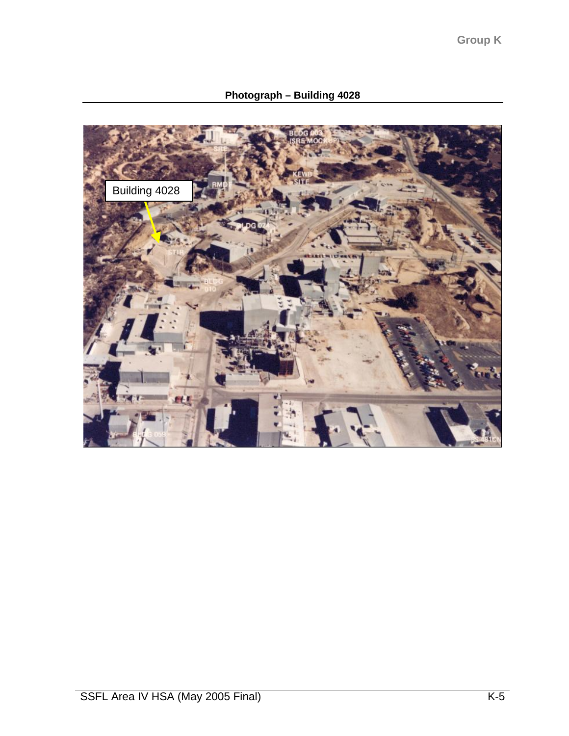